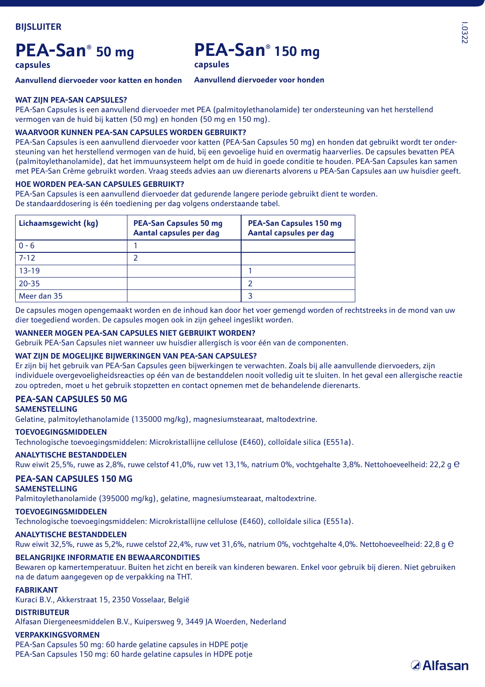# **PEA-San® 50 mg**

## **PEA-San® 150 mg**

**capsules**

**capsules**

**Aanvullend diervoeder voor katten en honden**

### **Aanvullend diervoeder voor honden**

### **WAT ZIJN PEA-SAN CAPSULES?**

PEA-San Capsules is een aanvullend diervoeder met PEA (palmitoylethanolamide) ter ondersteuning van het herstellend vermogen van de huid bij katten (50 mg) en honden (50 mg en 150 mg).

### **WAARVOOR KUNNEN PEA-SAN CAPSULES WORDEN GEBRUIKT?**

PEA-San Capsules is een aanvullend diervoeder voor katten (PEA-San Capsules 50 mg) en honden dat gebruikt wordt ter ondersteuning van het herstellend vermogen van de huid, bij een gevoelige huid en overmatig haarverlies. De capsules bevatten PEA (palmitoylethanolamide), dat het immuunsysteem helpt om de huid in goede conditie te houden. PEA-San Capsules kan samen met PEA-San Crème gebruikt worden. Vraag steeds advies aan uw dierenarts alvorens u PEA-San Capsules aan uw huisdier geeft.

### **HOE WORDEN PEA-SAN CAPSULES GEBRUIKT?**

PEA-San Capsules is een aanvullend diervoeder dat gedurende langere periode gebruikt dient te worden. De standaarddosering is één toediening per dag volgens onderstaande tabel.

| Lichaamsgewicht (kg) | <b>PEA-San Capsules 50 mg</b><br>Aantal capsules per dag | PEA-San Capsules 150 mg<br>Aantal capsules per dag |
|----------------------|----------------------------------------------------------|----------------------------------------------------|
| $0 - 6$              |                                                          |                                                    |
| $7 - 12$             | っ                                                        |                                                    |
| $13 - 19$            |                                                          |                                                    |
| $20 - 35$            |                                                          |                                                    |
| Meer dan 35          |                                                          |                                                    |

De capsules mogen opengemaakt worden en de inhoud kan door het voer gemengd worden of rechtstreeks in de mond van uw dier toegediend worden. De capsules mogen ook in zijn geheel ingeslikt worden.

### **WANNEER MOGEN PEA-SAN CAPSULES NIET GEBRUIKT WORDEN?**

Gebruik PEA-San Capsules niet wanneer uw huisdier allergisch is voor één van de componenten.

### **WAT ZIJN DE MOGELIJKE BIJWERKINGEN VAN PEA-SAN CAPSULES?**

Er zijn bij het gebruik van PEA-San Capsules geen bijwerkingen te verwachten. Zoals bij alle aanvullende diervoeders, zijn individuele overgevoeligheidsreacties op één van de bestanddelen nooit volledig uit te sluiten. In het geval een allergische reactie zou optreden, moet u het gebruik stopzetten en contact opnemen met de behandelende dierenarts.

## **PEA-SAN CAPSULES 50 MG**

**SAMENSTELLING**

Gelatine, palmitoylethanolamide (135000 mg/kg), magnesiumstearaat, maltodextrine.

### **TOEVOEGINGSMIDDELEN**

Technologische toevoegingsmiddelen: Microkristallijne cellulose (E460), colloïdale silica (E551a).

### **ANALYTISCHE BESTANDDELEN**

Ruw eiwit 25,5%, ruwe as 2,8%, ruwe celstof 41,0%, ruw vet 13,1%, natrium 0%, vochtgehalte 3,8%. Nettohoeveelheid: 22,2 g e

### **PEA-SAN CAPSULES 150 MG**

### **SAMENSTELLING**

Palmitoylethanolamide (395000 mg/kg), gelatine, magnesiumstearaat, maltodextrine.

### **TOEVOEGINGSMIDDELEN**

Technologische toevoegingsmiddelen: Microkristallijne cellulose (E460), colloïdale silica (E551a).

### **ANALYTISCHE BESTANDDELEN**

Ruw eiwit 32,5%, ruwe as 5,2%, ruwe celstof 22,4%, ruw vet 31,6%, natrium 0%, vochtgehalte 4,0%. Nettohoeveelheid: 22,8 g e

### **BELANGRIJKE INFORMATIE EN BEWAARCONDITIES**

Bewaren op kamertemperatuur. Buiten het zicht en bereik van kinderen bewaren. Enkel voor gebruik bij dieren. Niet gebruiken na de datum aangegeven op de verpakking na THT.

### **FABRIKANT**

Kuraci B.V., Akkerstraat 15, 2350 Vosselaar, België

### **DISTRIBUTEUR**

Alfasan Diergeneesmiddelen B.V., Kuipersweg 9, 3449 JA Woerden, Nederland

### **VERPAKKINGSVORMEN**

PEA-San Capsules 50 mg: 60 harde gelatine capsules in HDPE potje PEA-San Capsules 150 mg: 60 harde gelatine capsules in HDPE potje